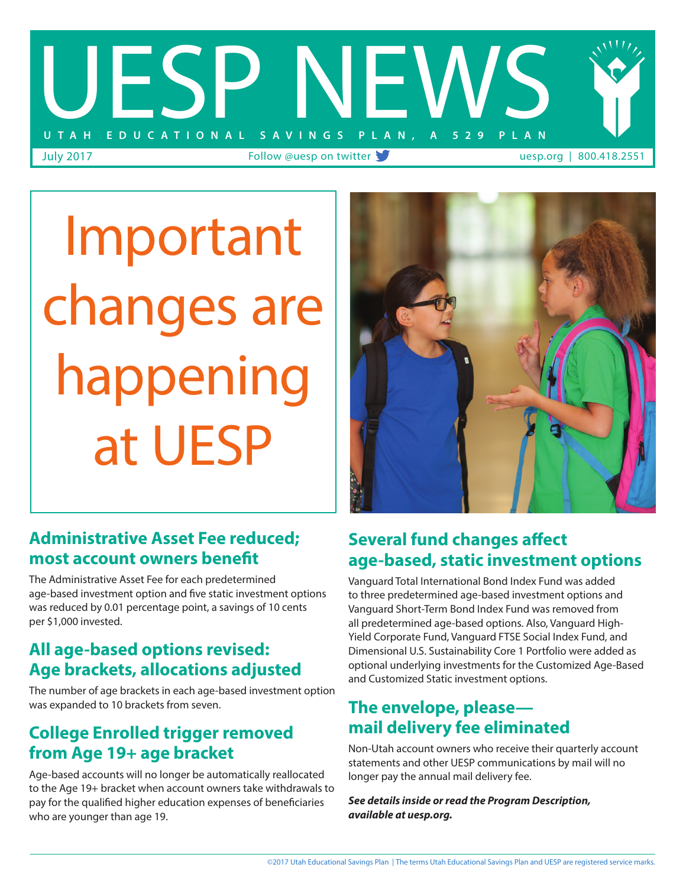

Important changes are happening at UESP

# **Administrative Asset Fee reduced; most account owners benefit**

The Administrative Asset Fee for each predetermined age-based investment option and five static investment options was reduced by 0.01 percentage point, a savings of 10 cents per \$1,000 invested.

# **All age-based options revised: Age brackets, allocations adjusted**

The number of age brackets in each age-based investment option was expanded to 10 brackets from seven.

# **College Enrolled trigger removed from Age 19+ age bracket**

Age-based accounts will no longer be automatically reallocated to the Age 19+ bracket when account owners take withdrawals to pay for the qualified higher education expenses of beneficiaries who are younger than age 19.

## **Several fund changes affect age-based, static investment options**

Vanguard Total International Bond Index Fund was added to three predetermined age-based investment options and Vanguard Short-Term Bond Index Fund was removed from all predetermined age-based options. Also, Vanguard High-Yield Corporate Fund, Vanguard FTSE Social Index Fund, and Dimensional U.S. Sustainability Core 1 Portfolio were added as optional underlying investments for the Customized Age-Based and Customized Static investment options.

# **The envelope, please mail delivery fee eliminated**

Non-Utah account owners who receive their quarterly account statements and other UESP communications by mail will no longer pay the annual mail delivery fee.

*See details inside or read the Program Description, available at uesp.org.*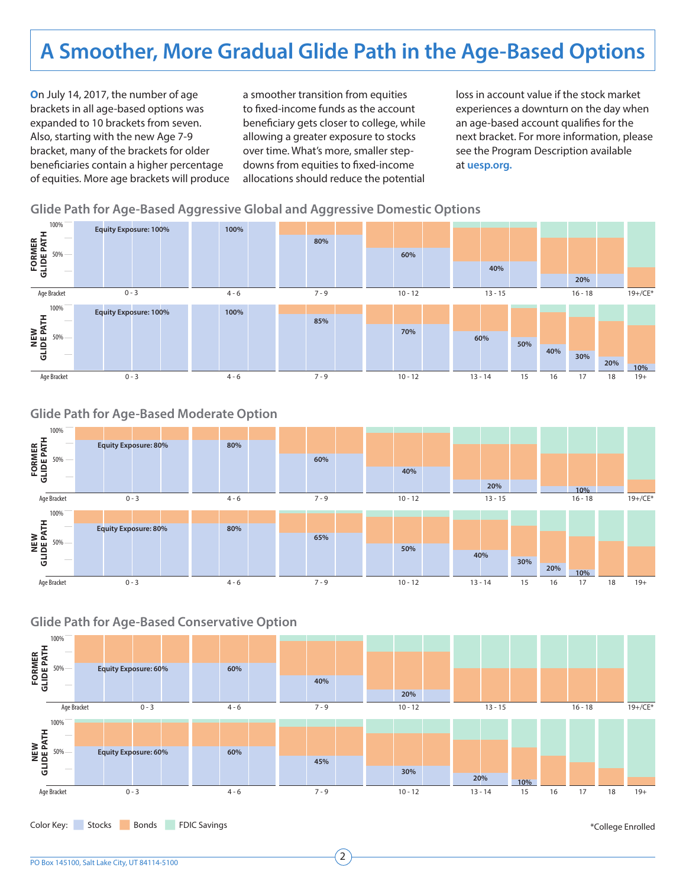# **A Smoother, More Gradual Glide Path in the Age-Based Options**

**O**n July 14, 2017, the number of age brackets in all age-based options was expanded to 10 brackets from seven. Also, starting with the new Age 7-9 bracket, many of the brackets for older beneficiaries contain a higher percentage of equities. More age brackets will produce a smoother transition from equities to fixed-income funds as the account beneficiary gets closer to college, while allowing a greater exposure to stocks over time. What's more, smaller stepdowns from equities to fixed-income allocations should reduce the potential

loss in account value if the stock market experiences a downturn on the day when an age-based account qualifies for the next bracket. For more information, please see the Program Description available at **uesp.org.**

### **Glide Path for Age-Based Aggressive Global and Aggressive Domestic Options**



### **Glide Path for Age-Based Moderate Option**



### **Glide Path for Age-Based Conservative Option**

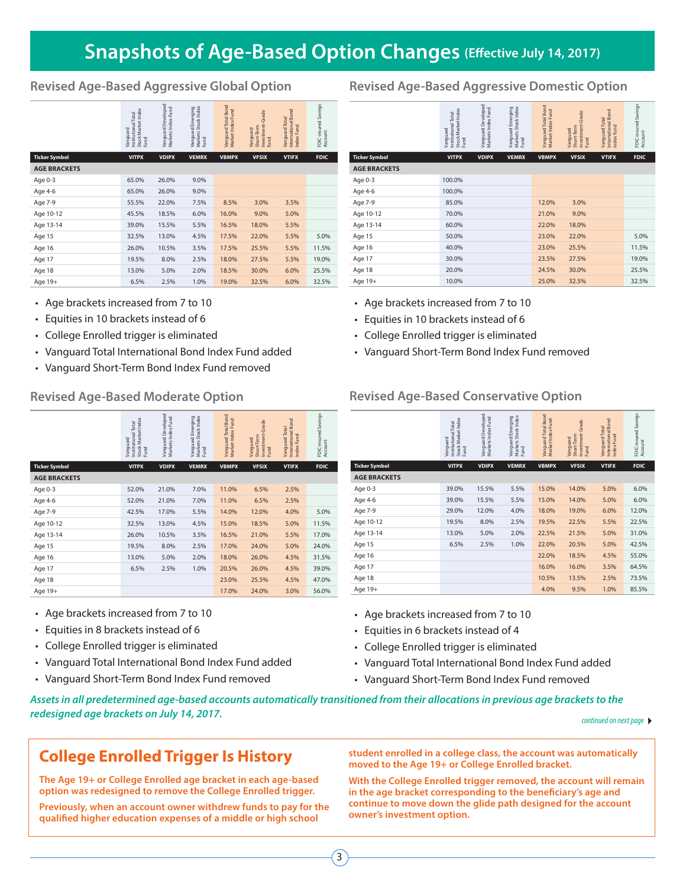# **Snapshots of Age-Based Option Changes (Effective July 14, 2017)**

|                                                                                                                                                                                                                                      | Vanguard<br>Institutional Total<br>Stock Market Index<br>Fund | Vanguard Developed<br>Markets Index Fund | Emerging<br>tock Index<br>ত দ<br>Vanguard<br>Markets<br>Fund | Vanguard Total Bond<br>Market Index Fund | Vanguard<br>Short-Term<br>Investment-Grade<br>Fund | Vanguard Total<br>International Bond<br>Index Fund | FDIC-insured Savings<br>Account              |                                                                                                                                                                             | Vanguard<br>Institutional Total<br>Stock Market Index<br>Fund | Vanguard Developed<br>Markets Index Fund | Vanguard Emerging<br>Markets Stock Index<br>Fund | Vanguard Total Bond<br>Market Index Fund | Vanguard<br>Short-Term<br>Invoctor |
|--------------------------------------------------------------------------------------------------------------------------------------------------------------------------------------------------------------------------------------|---------------------------------------------------------------|------------------------------------------|--------------------------------------------------------------|------------------------------------------|----------------------------------------------------|----------------------------------------------------|----------------------------------------------|-----------------------------------------------------------------------------------------------------------------------------------------------------------------------------|---------------------------------------------------------------|------------------------------------------|--------------------------------------------------|------------------------------------------|------------------------------------|
| <b>Ticker Symbol</b>                                                                                                                                                                                                                 | <b>VITPX</b>                                                  | <b>VDIPX</b>                             | <b>VEMRX</b>                                                 | <b>VBMPX</b>                             | <b>VFSIX</b>                                       | <b>VTIFX</b>                                       | <b>FDIC</b>                                  | <b>Ticker Symbol</b>                                                                                                                                                        | <b>VITPX</b>                                                  | <b>VDIPX</b>                             | <b>VEMRX</b>                                     | <b>VBMPX</b>                             | <b>VFSI</b>                        |
| <b>AGE BRACKETS</b>                                                                                                                                                                                                                  |                                                               |                                          |                                                              |                                          |                                                    |                                                    |                                              | <b>AGE BRACKETS</b>                                                                                                                                                         |                                                               |                                          |                                                  |                                          |                                    |
| Age 0-3                                                                                                                                                                                                                              | 65.0%                                                         | 26.0%                                    | 9.0%                                                         |                                          |                                                    |                                                    |                                              | Age 0-3                                                                                                                                                                     | 100.0%                                                        |                                          |                                                  |                                          |                                    |
| Age 4-6                                                                                                                                                                                                                              | 65.0%                                                         | 26.0%                                    | 9.0%                                                         |                                          |                                                    |                                                    |                                              | Age 4-6                                                                                                                                                                     | 100.0%                                                        |                                          |                                                  |                                          |                                    |
| Age 7-9                                                                                                                                                                                                                              | 55.5%                                                         | 22.0%                                    | 7.5%                                                         | 8.5%                                     | 3.0%                                               | 3.5%                                               |                                              | Age 7-9                                                                                                                                                                     | 85.0%                                                         |                                          |                                                  | 12.0%                                    | $3.0^{\circ}$                      |
| Age 10-12                                                                                                                                                                                                                            | 45.5%                                                         | 18.5%                                    | 6.0%                                                         | 16.0%                                    | 9.0%                                               | 5.0%                                               |                                              | Age 10-12                                                                                                                                                                   | 70.0%                                                         |                                          |                                                  | 21.0%                                    | $9.0^{\circ}$                      |
| Age 13-14                                                                                                                                                                                                                            | 39.0%                                                         | 15.5%                                    | 5.5%                                                         | 16.5%                                    | 18.0%                                              | 5.5%                                               |                                              | Age 13-14                                                                                                                                                                   | 60.0%                                                         |                                          |                                                  | 22.0%                                    | 18.0                               |
| Age 15                                                                                                                                                                                                                               | 32.5%                                                         | 13.0%                                    | 4.5%                                                         | 17.5%                                    | 22.0%                                              | 5.5%                                               | 5.0%                                         | Age 15                                                                                                                                                                      | 50.0%                                                         |                                          |                                                  | 23.0%                                    | 22.0                               |
| Age 16                                                                                                                                                                                                                               | 26.0%                                                         | 10.5%                                    | 3.5%                                                         | 17.5%                                    | 25.5%                                              | 5.5%                                               | 11.5%                                        | Age 16                                                                                                                                                                      | 40.0%                                                         |                                          |                                                  | 23.0%                                    | $25.5^{\circ}$                     |
| Age 17                                                                                                                                                                                                                               | 19.5%                                                         | 8.0%                                     | 2.5%                                                         | 18.0%                                    | 27.5%                                              | 5.5%                                               | 19.0%                                        | Age 17                                                                                                                                                                      | 30.0%                                                         |                                          |                                                  | 23.5%                                    | 27.5'                              |
| Age 18                                                                                                                                                                                                                               | 13.0%                                                         | 5.0%                                     | 2.0%                                                         | 18.5%                                    | 30.0%                                              | 6.0%                                               | 25.5%                                        | Age 18                                                                                                                                                                      | 20.0%                                                         |                                          |                                                  | 24.5%                                    | 30.0                               |
| Age 19+                                                                                                                                                                                                                              | 6.5%                                                          | 2.5%                                     | 1.0%                                                         | 19.0%                                    | 32.5%                                              | 6.0%                                               | 32.5%                                        | Age 19+                                                                                                                                                                     | 10.0%                                                         |                                          |                                                  | 25.0%                                    | 32.5'                              |
| • Age brackets increased from 7 to 10<br>• Equities in 10 brackets instead of 6<br>• College Enrolled trigger is eliminated<br>• Vanguard Total International Bond Index Fund added<br>• Vanguard Short-Term Bond Index Fund removed |                                                               |                                          |                                                              |                                          |                                                    |                                                    |                                              | • Age brackets increased from 7 to 10<br>• Equities in 10 brackets instead of 6<br>• College Enrolled trigger is eliminated<br>• Vanguard Short-Term Bond Index Fund remove |                                                               |                                          |                                                  |                                          |                                    |
| <b>Revised Age-Based Moderate Option</b>                                                                                                                                                                                             |                                                               |                                          |                                                              |                                          |                                                    |                                                    | <b>Revised Age-Based Conservative Option</b> |                                                                                                                                                                             |                                                               |                                          |                                                  |                                          |                                    |

- Age brackets increased from 7 to 10
- Equities in 10 brackets instead of 6
- College Enrolled trigger is eliminated
- Vanguard Total International Bond Index Fund added
- Vanguard Short-Term Bond Index Fund removed

|                      | Stock Market Index<br>Institutional Total<br><b>Janguard</b><br>Fund | Vanguard Developed<br>Markets Index Fund | Vanguard Emerging<br>Markets Stock Index<br>Fund | Vanguard Total Bond<br>Market Index Fund | Investment-Grade<br>Short-Term<br>Vanguard<br>Fund | International Bond<br>Vanguard Total<br>Index Fund | FDIC-insured Savings<br>Account |
|----------------------|----------------------------------------------------------------------|------------------------------------------|--------------------------------------------------|------------------------------------------|----------------------------------------------------|----------------------------------------------------|---------------------------------|
| <b>Ticker Symbol</b> | <b>VITPX</b>                                                         | <b>VDIPX</b>                             | <b>VEMRX</b>                                     | <b>VBMPX</b>                             | <b>VFSIX</b>                                       | <b>VTIFX</b>                                       | <b>FDIC</b>                     |
| <b>AGE BRACKETS</b>  |                                                                      |                                          |                                                  |                                          |                                                    |                                                    |                                 |
| Age 0-3              | 52.0%                                                                | 21.0%                                    | 7.0%                                             | 11.0%                                    | 6.5%                                               | 2.5%                                               |                                 |
| Age 4-6              | 52.0%                                                                | 21.0%                                    | 7.0%                                             | 11.0%                                    | 6.5%                                               | 2.5%                                               |                                 |
| Age 7-9              | 42.5%                                                                | 17.0%                                    | 5.5%                                             | 14.0%                                    | 12.0%                                              | 4.0%                                               | 5.0%                            |
| Age 10-12            | 32.5%                                                                | 13.0%                                    | 4.5%                                             | 15.0%                                    | 18.5%                                              | 5.0%                                               | 11.5%                           |
| Age 13-14            | 26.0%                                                                | 10.5%                                    | 3.5%                                             | 16.5%                                    | 21.0%                                              | 5.5%                                               | 17.0%                           |
| Age 15               | 19.5%                                                                | 8.0%                                     | 2.5%                                             | 17.0%                                    | 24.0%                                              | 5.0%                                               | 24.0%                           |
| Age 16               | 13.0%                                                                | 5.0%                                     | 2.0%                                             | 18.0%                                    | 26.0%                                              | 4.5%                                               | 31.5%                           |
| Age 17               | 6.5%                                                                 | 2.5%                                     | 1.0%                                             | 20.5%                                    | 26.0%                                              | 4.5%                                               | 39.0%                           |
| Age 18               |                                                                      |                                          |                                                  | 23.0%                                    | 25.5%                                              | 4.5%                                               | 47.0%                           |
| Age 19+              |                                                                      |                                          |                                                  | 17.0%                                    | 24.0%                                              | 3.0%                                               | 56.0%                           |

- Age brackets increased from 7 to 10
- Equities in 8 brackets instead of 6
- College Enrolled trigger is eliminated
- Vanguard Total International Bond Index Fund added
- Vanguard Short-Term Bond Index Fund removed

## **Revised Age-Based Aggressive Global Option Revised Age-Based Aggressive Domestic Option**

|                      | Stock Market Index<br>Institutional Total<br>Vanguard<br>Fund | Vanguard Developed<br>Markets Index Fund | Markets Stock Index<br>Vanguard Emerging<br>Fund | Vanguard Total Bond<br>Market Index Fund | Investment-Grade<br>Short-Term<br>Vanguard<br>Fund | International Bond<br>Vanguard Total<br>Index Fund | FDIC-insured Savings<br>Account |
|----------------------|---------------------------------------------------------------|------------------------------------------|--------------------------------------------------|------------------------------------------|----------------------------------------------------|----------------------------------------------------|---------------------------------|
| <b>Ticker Symbol</b> | <b>VITPX</b>                                                  | <b>VDIPX</b>                             | <b>VEMRX</b>                                     | <b>VBMPX</b>                             | <b>VFSIX</b>                                       | <b>VTIFX</b>                                       | <b>FDIC</b>                     |
| <b>AGE BRACKETS</b>  |                                                               |                                          |                                                  |                                          |                                                    |                                                    |                                 |
| Age 0-3              | 100.0%                                                        |                                          |                                                  |                                          |                                                    |                                                    |                                 |
| Age 4-6              | 100.0%                                                        |                                          |                                                  |                                          |                                                    |                                                    |                                 |
| Age 7-9              | 85.0%                                                         |                                          |                                                  | 12.0%                                    | 3.0%                                               |                                                    |                                 |
| Age 10-12            | 70.0%                                                         |                                          |                                                  | 21.0%                                    | 9.0%                                               |                                                    |                                 |
| Age 13-14            | 60.0%                                                         |                                          |                                                  | 22.0%                                    | 18.0%                                              |                                                    |                                 |
| Age 15               | 50.0%                                                         |                                          |                                                  | 23.0%                                    | 22.0%                                              |                                                    | 5.0%                            |
| Age 16               | 40.0%                                                         |                                          |                                                  | 23.0%                                    | 25.5%                                              |                                                    | 11.5%                           |
| Age 17               | 30.0%                                                         |                                          |                                                  | 23.5%                                    | 27.5%                                              |                                                    | 19.0%                           |
| Age 18               | 20.0%                                                         |                                          |                                                  | 24.5%                                    | 30.0%                                              |                                                    | 25.5%                           |
| Age 19+              | 10.0%                                                         |                                          |                                                  | 25.0%                                    | 32.5%                                              |                                                    | 32.5%                           |

- Age brackets increased from 7 to 10
- Equities in 10 brackets instead of 6
- College Enrolled trigger is eliminated
- Vanguard Short-Term Bond Index Fund removed

|                      | Stock Market Index<br>Institutional Total<br>Vanquard<br>Fund | Vanguard Developed<br>Markets Index Fund | Markets Stock Index<br>Vanguard Emerging<br>Fund | Vanguard Total Bond<br>Market Index Fund | Investment-Grade<br>Short-Term<br>Vanguard<br>Fund | International Bond<br>Vanguard Total<br>Index Fund | FDIC-insured Savings<br>Account |
|----------------------|---------------------------------------------------------------|------------------------------------------|--------------------------------------------------|------------------------------------------|----------------------------------------------------|----------------------------------------------------|---------------------------------|
| <b>Ticker Symbol</b> | <b>VITPX</b>                                                  | <b>VDIPX</b>                             | <b>VEMRX</b>                                     | <b>VBMPX</b>                             | <b>VFSIX</b>                                       | <b>VTIFX</b>                                       | <b>FDIC</b>                     |
| <b>AGE BRACKETS</b>  |                                                               |                                          |                                                  |                                          |                                                    |                                                    |                                 |
| Age 0-3              | 39.0%                                                         | 15.5%                                    | 5.5%                                             | 15.0%                                    | 14.0%                                              | 5.0%                                               | 6.0%                            |
| Age 4-6              | 39.0%                                                         | 15.5%                                    | 5.5%                                             | 15.0%                                    | 14.0%                                              | 5.0%                                               | 6.0%                            |
| Age 7-9              | 29.0%                                                         | 12.0%                                    | 4.0%                                             | 18.0%                                    | 19.0%                                              | 6.0%                                               | 12.0%                           |
| Age 10-12            | 19.5%                                                         | 8.0%                                     | 2.5%                                             | 19.5%                                    | 22.5%                                              | 5.5%                                               | 22.5%                           |
| Age 13-14            | 13.0%                                                         | 5.0%                                     | 2.0%                                             | 22.5%                                    | 21.5%                                              | 5.0%                                               | 31.0%                           |
| Age 15               | 6.5%                                                          | 2.5%                                     | 1.0%                                             | 22.0%                                    | 20.5%                                              | 5.0%                                               | 42.5%                           |
| Age 16               |                                                               |                                          |                                                  | 22.0%                                    | 18.5%                                              | 4.5%                                               | 55.0%                           |
| Age 17               |                                                               |                                          |                                                  | 16.0%                                    | 16.0%                                              | 3.5%                                               | 64.5%                           |
| Age 18               |                                                               |                                          |                                                  | 10.5%                                    | 13.5%                                              | 2.5%                                               | 73.5%                           |
| Age 19+              |                                                               |                                          |                                                  | 4.0%                                     | 9.5%                                               | 1.0%                                               | 85.5%                           |

- Age brackets increased from 7 to 10
- Equities in 6 brackets instead of 4
- College Enrolled trigger is eliminated
- Vanguard Total International Bond Index Fund added
- Vanguard Short-Term Bond Index Fund removed

*Assets in all predetermined age-based accounts automatically transitioned from their allocations in previous age brackets to the redesigned age brackets on July 14, 2017. continued on Person of Australian Continued on next page* **▶** *continued on next page* **▶** *continued on next page* **▶** 

## **College Enrolled Trigger Is History**

**The Age 19+ or College Enrolled age bracket in each age-based option was redesigned to remove the College Enrolled trigger.** 

**Previously, when an account owner withdrew funds to pay for the qualified higher education expenses of a middle or high school** 

**student enrolled in a college class, the account was automatically moved to the Age 19+ or College Enrolled bracket.**

**With the College Enrolled trigger removed, the account will remain in the age bracket corresponding to the beneficiary's age and continue to move down the glide path designed for the account owner's investment option.**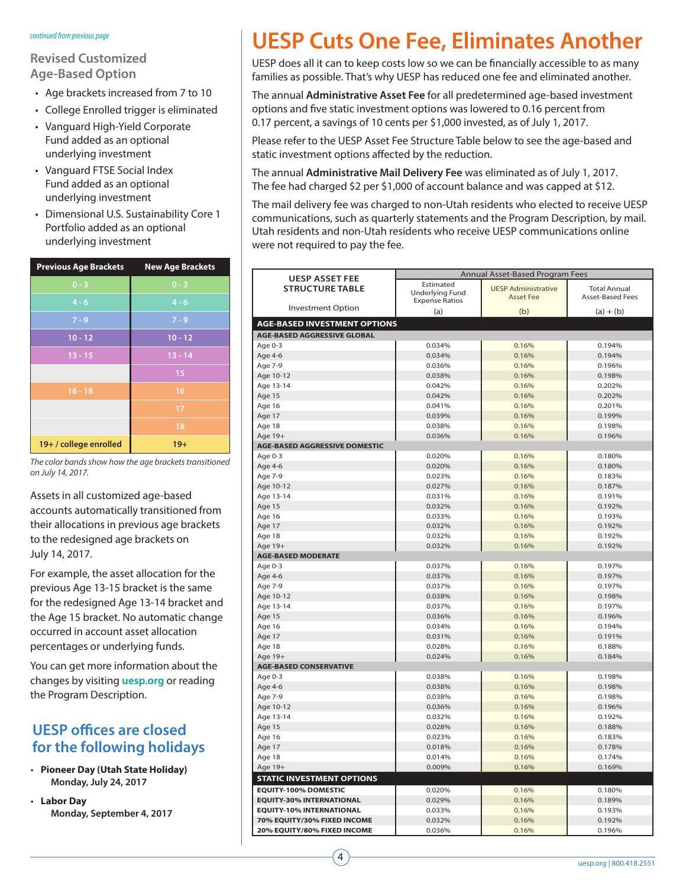### *continued from previous page*

### **Revised Customized Age-Based Option**

- Age brackets increased from 7 to 10
- College Enrolled trigger is eliminated
- Vanguard High-Yield Corporate Fund added as an optional underlying investment
- Vanguard FTSE Social Index Fund added as an optional underlying investment
- Dimensional U.S. Sustainability Core 1 Portfolio added as an optional underlying investment

| <b>Previous Age Brackets</b> | <b>New Age Brackets</b> |
|------------------------------|-------------------------|
| $0 - 3$                      | $0 - 3$                 |
| $4 - 6$                      | $4 - 6$                 |
| $7 - 9$                      | $7 - 9$                 |
| $10 - 12$                    | $10 - 12$               |
| $13 - 15$                    | $13 - 14$               |
|                              | 15                      |
| $16 - 18$                    | 16                      |
|                              | 17                      |
|                              | 18                      |
| 19+/college enrolled         | $19+$                   |

*The color bands show how the age brackets transitioned on July 14, 2017.*

Assets in all customized age-based accounts automatically transitioned from their allocations in previous age brackets to the redesigned age brackets on July 14, 2017.

For example, the asset allocation for the previous Age 13-15 bracket is the same for the redesigned Age 13-14 bracket and the Age 15 bracket. No automatic change occurred in account asset allocation percentages or underlying funds.

You can get more information about the changes by visiting **uesp.org** or reading the Program Description.

## **UESP offices are closed for the following holidays**

- **Pioneer Day (Utah State Holiday) Monday, July 24, 2017**
- **Labor Day Monday, September 4, 2017**

# **UESP Cuts One Fee, Eliminates Another**

UESP does all it can to keep costs low so we can be financially accessible to as many families as possible. That's why UESP has reduced one fee and eliminated another.

The annual **Administrative Asset Fee** for all predetermined age-based investment options and five static investment options was lowered to 0.16 percent from 0.17 percent, a savings of 10 cents per \$1,000 invested, as of July 1, 2017.

Please refer to the UESP Asset Fee Structure Table below to see the age-based and static investment options affected by the reduction.

The annual **Administrative Mail Delivery Fee** was eliminated as of July 1, 2017. The fee had charged \$2 per \$1,000 of account balance and was capped at \$12.

The mail delivery fee was charged to non-Utah residents who elected to receive UESP communications, such as quarterly statements and the Program Description, by mail. Utah residents and non-Utah residents who receive UESP communications online were not required to pay the fee.

| <b>UESP ASSET FEE</b>               | Annual Asset-Based Program Fees |                            |                         |  |  |  |
|-------------------------------------|---------------------------------|----------------------------|-------------------------|--|--|--|
| <b>STRUCTURE TABLE</b>              | Estimated                       | <b>UESP Administrative</b> | <b>Total Annual</b>     |  |  |  |
|                                     | <b>Underlying Fund</b>          | <b>Asset Fee</b>           | <b>Asset-Based Fees</b> |  |  |  |
| <b>Investment Option</b>            | <b>Expense Ratios</b>           |                            |                         |  |  |  |
|                                     | (a)                             | (b)                        | $(a) + (b)$             |  |  |  |
| <b>AGE-BASED INVESTMENT OPTIONS</b> |                                 |                            |                         |  |  |  |
| <b>AGE-BASED AGGRESSIVE GLOBAL</b>  |                                 |                            |                         |  |  |  |
| Age 0-3                             | 0.034%                          | 0.16%                      | 0.194%                  |  |  |  |
| Age 4-6                             | 0.034%                          | 0.16%                      | 0.194%                  |  |  |  |
| Age 7-9                             | 0.036%                          | 0.16%                      | 0.196%                  |  |  |  |
| Age 10-12                           | 0.038%                          | 0.16%                      | 0.198%                  |  |  |  |
| Age 13-14                           | 0.042%                          | 0.16%                      | 0.202%                  |  |  |  |
| Age 15                              | 0.042%                          | 0.16%                      | 0.202%                  |  |  |  |
| Age 16                              | 0.041%                          | 0.16%                      | 0.201%                  |  |  |  |
| Age 17                              | 0.039%                          | 0.16%                      | 0.199%                  |  |  |  |
| Age 18                              | 0.038%                          | 0.16%                      | 0.198%                  |  |  |  |
| Age 19+                             | 0.036%                          | 0.16%                      | 0.196%                  |  |  |  |
| AGE-BASED AGGRESSIVE DOMESTIC       |                                 |                            |                         |  |  |  |
| Age 0-3                             | 0.020%                          | 0.16%                      | 0.180%                  |  |  |  |
| Age 4-6                             | 0.020%                          | 0.16%                      | 0.180%                  |  |  |  |
| Age 7-9                             | 0.023%                          | 0.16%                      | 0.183%                  |  |  |  |
| Age 10-12                           | 0.027%                          | 0.16%                      | 0.187%                  |  |  |  |
| Age 13-14                           | 0.031%                          | 0.16%                      | 0.191%                  |  |  |  |
| Age 15                              | 0.032%                          | 0.16%                      | 0.192%                  |  |  |  |
| Age 16                              | 0.033%                          | 0.16%                      | 0.193%                  |  |  |  |
| Age 17                              | 0.032%                          | 0.16%                      | 0.192%                  |  |  |  |
| Age 18                              | 0.032%                          | 0.16%                      | 0.192%                  |  |  |  |
| Age 19+                             | 0.032%                          | 0.16%                      | 0.192%                  |  |  |  |
| <b>AGE-BASED MODERATE</b>           |                                 |                            |                         |  |  |  |
| Age 0-3                             | 0.037%                          | 0.16%                      | 0.197%                  |  |  |  |
| Age 4-6                             | 0.037%                          | 0.16%                      | 0.197%                  |  |  |  |
| Age 7-9                             | 0.037%                          | 0.16%                      | 0.197%                  |  |  |  |
| Age 10-12                           | 0.038%                          | 0.16%                      | 0.198%                  |  |  |  |
| Age 13-14                           | 0.037%                          | 0.16%                      | 0.197%                  |  |  |  |
| Age 15                              | 0.036%                          | 0.16%                      | 0.196%                  |  |  |  |
| Age 16                              | 0.034%                          | 0.16%                      | 0.194%                  |  |  |  |
| Age 17                              | 0.031%                          | 0.16%                      | 0.191%                  |  |  |  |
| Age 18                              | 0.028%                          | 0.16%                      | 0.188%                  |  |  |  |
| Age 19+                             | 0.024%                          | 0.16%                      | 0.184%                  |  |  |  |
| <b>AGE-BASED CONSERVATIVE</b>       |                                 |                            |                         |  |  |  |
| Age 0-3                             | 0.038%                          | 0.16%                      | 0.198%                  |  |  |  |
| Age 4-6                             | 0.038%                          | 0.16%                      | 0.198%                  |  |  |  |
| Age 7-9                             | 0.038%                          | 0.16%                      | 0.198%                  |  |  |  |
| Age 10-12                           | 0.036%                          | 0.16%                      | 0.196%                  |  |  |  |
| Age 13-14                           | 0.032%                          | 0.16%                      | 0.192%                  |  |  |  |
| Age 15                              | 0.028%                          | 0.16%                      | 0.188%                  |  |  |  |
| Age 16                              | 0.023%                          | 0.16%                      | 0.183%                  |  |  |  |
| Age 17                              | 0.018%                          | 0.16%                      | 0.178%                  |  |  |  |
| Age 18                              | 0.014%                          | 0.16%                      | 0.174%                  |  |  |  |
| Age 19+                             | 0.009%                          | 0.16%                      | 0.169%                  |  |  |  |
| <b>STATIC INVESTMENT OPTIONS</b>    |                                 |                            |                         |  |  |  |
| <b>EQUITY-100% DOMESTIC</b>         | 0.020%                          | 0.16%                      | 0.180%                  |  |  |  |
| <b>EQUITY-30% INTERNATIONAL</b>     | 0.029%                          | 0.16%                      | 0.189%                  |  |  |  |
| <b>EQUITY-10% INTERNATIONAL</b>     | 0.033%                          | 0.16%                      | 0.193%                  |  |  |  |
| 70% EQUITY/30% FIXED INCOME         | 0.032%                          | 0.16%                      | 0.192%                  |  |  |  |
| 20% EQUITY/80% FIXED INCOME         | 0.036%                          | 0.16%                      | 0.196%                  |  |  |  |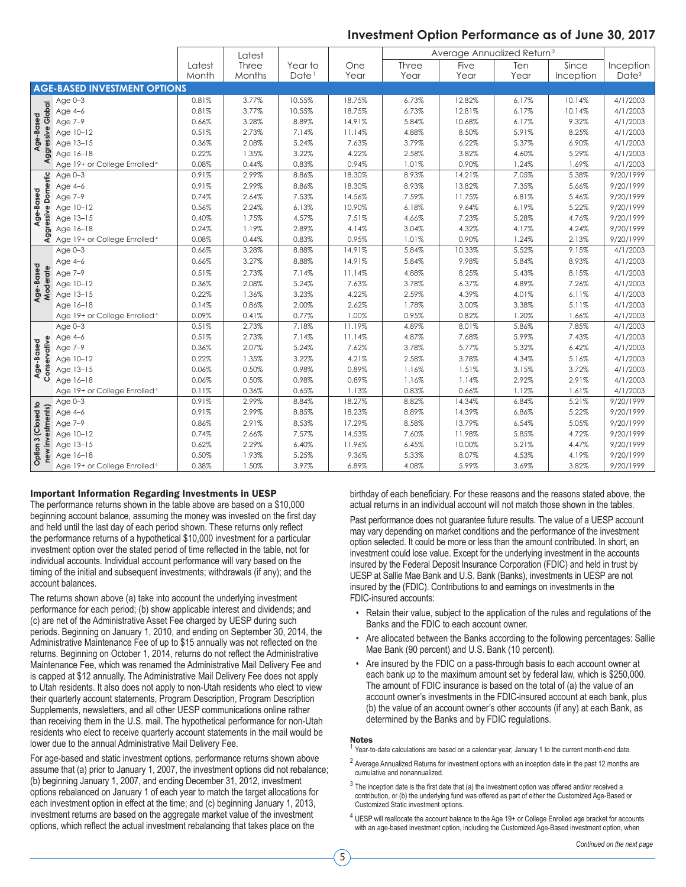## **Investment Option Performance as of June 30, 2017**

|                           |                                          |        | Latest |                   |        | Average Annualized Return <sup>2</sup> |        |       |           |                   |
|---------------------------|------------------------------------------|--------|--------|-------------------|--------|----------------------------------------|--------|-------|-----------|-------------------|
|                           |                                          | Latest | Three  | Year to           | One    | Three                                  | Five   | Ten   | Since     | Inception         |
|                           |                                          | Month  | Months | Date <sup>1</sup> | Year   | Year                                   | Year   | Year  | Inception | Date <sup>3</sup> |
|                           | <b>AGE-BASED INVESTMENT OPTIONS</b>      |        |        |                   |        |                                        |        |       |           |                   |
|                           | Age $0-3$                                | 0.81%  | 3.77%  | 10.55%            | 18.75% | 6.73%                                  | 12.82% | 6.17% | 10.14%    | 4/1/2003          |
|                           | Age 4-6                                  | 0.81%  | 3.77%  | 10.55%            | 18.75% | 6.73%                                  | 12.81% | 6.17% | 10.14%    | 4/1/2003          |
| Age-Based                 | Age 7-9                                  | 0.66%  | 3.28%  | 8.89%             | 14.91% | 5.84%                                  | 10.68% | 6.17% | 9.32%     | 4/1/2003          |
|                           | Age 10-12                                | 0.51%  | 2.73%  | 7.14%             | 11.14% | 4.88%                                  | 8.50%  | 5.91% | 8.25%     | 4/1/2003          |
|                           | Age 13-15                                | 0.36%  | 2.08%  | 5.24%             | 7.63%  | 3.79%                                  | 6.22%  | 5.37% | 6.90%     | 4/1/2003          |
| <b>Aggressive Global</b>  | Age 16-18                                | 0.22%  | 1.35%  | 3.22%             | 4.22%  | 2.58%                                  | 3.82%  | 4.60% | 5.29%     | 4/1/2003          |
|                           | Age 19+ or College Enrolled <sup>4</sup> | 0.08%  | 0.44%  | 0.83%             | 0.94%  | 1.01%                                  | 0.90%  | 1.24% | 1.69%     | 4/1/2003          |
|                           | Age $0-3$                                | 0.91%  | 2.99%  | 8.86%             | 18.30% | 8.93%                                  | 14.21% | 7.05% | 5.38%     | 9/20/1999         |
| Domestic                  | Age 4-6                                  | 0.91%  | 2.99%  | 8.86%             | 18.30% | 8.93%                                  | 13.82% | 7.35% | 5.66%     | 9/20/1999         |
| Age-Based                 | Age 7-9                                  | 0.74%  | 2.64%  | 7.53%             | 14.56% | 7.59%                                  | 11.75% | 6.81% | 5.46%     | 9/20/1999         |
|                           | Age 10-12                                | 0.56%  | 2.24%  | 6.13%             | 10.90% | 6.18%                                  | 9.64%  | 6.19% | 5.22%     | 9/20/1999         |
|                           | Age 13-15                                | 0.40%  | 1.75%  | 4.57%             | 7.51%  | 4.66%                                  | 7.23%  | 5.28% | 4.76%     | 9/20/1999         |
| Aggressive                | Age 16-18                                | 0.24%  | 1.19%  | 2.89%             | 4.14%  | 3.04%                                  | 4.32%  | 4.17% | 4.24%     | 9/20/1999         |
|                           | Age 19+ or College Enrolled <sup>4</sup> | 0.08%  | 0.44%  | 0.83%             | 0.95%  | 1.01%                                  | 0.90%  | 1.24% | 2.13%     | 9/20/1999         |
|                           | Age $0-3$                                | 0.66%  | 3.28%  | 8.88%             | 14.91% | 5.84%                                  | 10.33% | 5.52% | 9.15%     | 4/1/2003          |
|                           | Age 4-6                                  | 0.66%  | 3.27%  | 8.88%             | 14.91% | 5.84%                                  | 9.98%  | 5.84% | 8.93%     | 4/1/2003          |
| Age-Based<br>Moderate     | Age 7-9                                  | 0.51%  | 2.73%  | 7.14%             | 11.14% | 4.88%                                  | 8.25%  | 5.43% | 8.15%     | 4/1/2003          |
|                           | Age 10-12                                | 0.36%  | 2.08%  | 5.24%             | 7.63%  | 3.78%                                  | 6.37%  | 4.89% | 7.26%     | 4/1/2003          |
|                           | Age 13-15                                | 0.22%  | 1.36%  | 3.23%             | 4.22%  | 2.59%                                  | 4.39%  | 4.01% | 6.11%     | 4/1/2003          |
|                           | Age 16-18                                | 0.14%  | 0.86%  | 2.00%             | 2.62%  | 1.78%                                  | 3.00%  | 3.38% | 5.11%     | 4/1/2003          |
|                           | Age 19+ or College Enrolled <sup>4</sup> | 0.09%  | 0.41%  | 0.77%             | 1.00%  | 0.95%                                  | 0.82%  | 1.20% | 1.66%     | 4/1/2003          |
|                           | Age $0-3$                                | 0.51%  | 2.73%  | 7.18%             | 11.19% | 4.89%                                  | 8.01%  | 5.86% | 7.85%     | 4/1/2003          |
|                           | Age 4-6                                  | 0.51%  | 2.73%  | 7.14%             | 11.14% | 4.87%                                  | 7.68%  | 5.99% | 7.43%     | 4/1/2003          |
|                           | Age 7-9                                  | 0.36%  | 2.07%  | 5.24%             | 7.62%  | 3.78%                                  | 5.77%  | 5.32% | 6.42%     | 4/1/2003          |
| Conservative<br>Age-Based | Age 10-12                                | 0.22%  | 1.35%  | 3.22%             | 4.21%  | 2.58%                                  | 3.78%  | 4.34% | 5.16%     | 4/1/2003          |
|                           | Age 13-15                                | 0.06%  | 0.50%  | 0.98%             | 0.89%  | 1.16%                                  | 1.51%  | 3.15% | 3.72%     | 4/1/2003          |
|                           | Age 16-18                                | 0.06%  | 0.50%  | 0.98%             | 0.89%  | 1.16%                                  | 1.14%  | 2.92% | 2.91%     | 4/1/2003          |
|                           | Age 19+ or College Enrolled <sup>4</sup> | 0.11%  | 0.36%  | 0.65%             | 1.13%  | 0.83%                                  | 0.66%  | 1.12% | 1.61%     | 4/1/2003          |
|                           | Age $0-3$                                | 0.91%  | 2.99%  | 8.84%             | 18.27% | 8.82%                                  | 14.34% | 6.84% | 5.21%     | 9/20/1999         |
|                           | Age 4-6                                  | 0.91%  | 2.99%  | 8.85%             | 18.23% | 8.89%                                  | 14.39% | 6.86% | 5.22%     | 9/20/1999         |
|                           | Age 7-9                                  | 0.86%  | 2.91%  | 8.53%             | 17.29% | 8.58%                                  | 13.79% | 6.54% | 5.05%     | 9/20/1999         |
| new investments)          | Age 10-12                                | 0.74%  | 2.66%  | 7.57%             | 14.53% | 7.60%                                  | 11.98% | 5.85% | 4.72%     | 9/20/1999         |
|                           | Age 13-15                                | 0.62%  | 2.29%  | 6.40%             | 11.96% | 6.45%                                  | 10.00% | 5.21% | 4.47%     | 9/20/1999         |
| Option 3 (Closed to       | Age 16-18                                | 0.50%  | 1.93%  | 5.25%             | 9.36%  | 5.33%                                  | 8.07%  | 4.53% | 4.19%     | 9/20/1999         |
|                           | Age 19+ or College Enrolled <sup>4</sup> | 0.38%  | 1.50%  | 3.97%             | 6.89%  | 4.08%                                  | 5.99%  | 3.69% | 3.82%     | 9/20/1999         |

### Important Information Regarding Investments in UESP

The performance returns shown in the table above are based on a \$10,000 beginning account balance, assuming the money was invested on the first day and held until the last day of each period shown. These returns only reflect the performance returns of a hypothetical \$10,000 investment for a particular investment option over the stated period of time reflected in the table, not for individual accounts. Individual account performance will vary based on the timing of the initial and subsequent investments; withdrawals (if any); and the account balances.

The returns shown above (a) take into account the underlying investment performance for each period; (b) show applicable interest and dividends; and (c) are net of the Administrative Asset Fee charged by UESP during such periods. Beginning on January 1, 2010, and ending on September 30, 2014, the Administrative Maintenance Fee of up to \$15 annually was not reflected on the returns. Beginning on October 1, 2014, returns do not reflect the Administrative Maintenance Fee, which was renamed the Administrative Mail Delivery Fee and is capped at \$12 annually. The Administrative Mail Delivery Fee does not apply to Utah residents. It also does not apply to non-Utah residents who elect to view their quarterly account statements, Program Description, Program Description Supplements, newsletters, and all other UESP communications online rather than receiving them in the U.S. mail. The hypothetical performance for non-Utah residents who elect to receive quarterly account statements in the mail would be lower due to the annual Administrative Mail Delivery Fee.

For age-based and static investment options, performance returns shown above assume that (a) prior to January 1, 2007, the investment options did not rebalance; (b) beginning January 1, 2007, and ending December 31, 2012, investment options rebalanced on January 1 of each year to match the target allocations for each investment option in effect at the time; and (c) beginning January 1, 2013, investment returns are based on the aggregate market value of the investment options, which reflect the actual investment rebalancing that takes place on the

birthday of each beneficiary. For these reasons and the reasons stated above, the actual returns in an individual account will not match those shown in the tables.

Past performance does not guarantee future results. The value of a UESP account may vary depending on market conditions and the performance of the investment option selected. It could be more or less than the amount contributed. In short, an investment could lose value. Except for the underlying investment in the accounts insured by the Federal Deposit Insurance Corporation (FDIC) and held in trust by UESP at Sallie Mae Bank and U.S. Bank (Banks), investments in UESP are not insured by the (FDIC). Contributions to and earnings on investments in the FDIC-insured accounts:

- Retain their value, subject to the application of the rules and regulations of the Banks and the FDIC to each account owner.
- Are allocated between the Banks according to the following percentages: Sallie Mae Bank (90 percent) and U.S. Bank (10 percent).
- Are insured by the FDIC on a pass-through basis to each account owner at each bank up to the maximum amount set by federal law, which is \$250,000. The amount of FDIC insurance is based on the total of (a) the value of an account owner's investments in the FDIC-insured account at each bank, plus (b) the value of an account owner's other accounts (if any) at each Bank, as determined by the Banks and by FDIC regulations.

### Notes

- Year-to-date calculations are based on a calendar year; January 1 to the current month-end date.
- <sup>2</sup> Average Annualized Returns for investment options with an inception date in the past 12 months are cumulative and nonannualized.
- $3$  The inception date is the first date that (a) the investment option was offered and/or received a contribution, or (b) the underlying fund was offered as part of either the Customized Age-Based or Customized Static investment options.
- <sup>4</sup> UESP will reallocate the account balance to the Age 19+ or College Enrolled age bracket for accounts with an age-based investment option, including the Customized Age-Based investment option, when